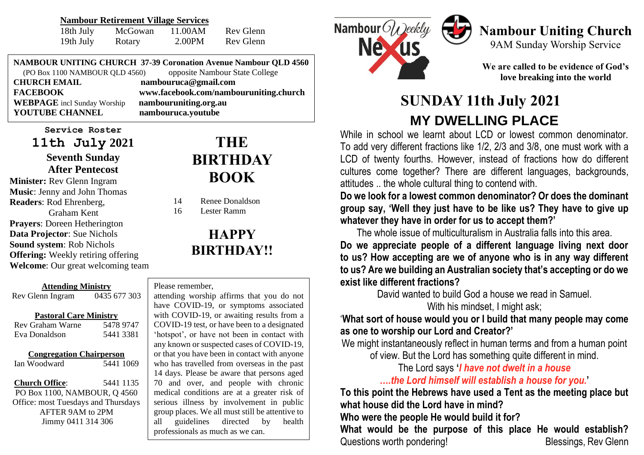#### **Nambour Retirement Village Services**

| 18th July | McGowan | 11.00AM | Rev Glenn |
|-----------|---------|---------|-----------|
| 19th July | Rotary  | 2.00PM  | Rev Glenn |

**NAMBOUR UNITING CHURCH 37-39 Coronation Avenue Nambour QLD 4560**<br>(PO Box 1100 NAMBOUR OLD 4560) opposite Nambour State College  $(PO Box 1100 NAMBOUR OLD 4560)$ **CHURCH EMAIL nambouruca@gmail.com FACEBOOK www.facebook.com/nambouruniting.church WEBPAGE** incl Sunday Worship **nambouruniting.org.au YOUTUBE CHANNEL** 

#### **Service Roster 11th July 2021 Seventh Sunday After Pentecost**

**Minister:** Rev Glenn Ingram **Music**: Jenny and John Thomas **Readers**: Rod Ehrenberg, Graham Kent **Prayers**: Doreen Hetherington **Data Projector**: Sue Nichols **Sound system**: Rob Nichols **Offering:** Weekly retiring offering **Welcome**: Our great welcoming team

#### **Attending Ministry** Rev Glenn Ingram 0435 677 303

#### **Pastoral Care Ministry**

| Rev Graham Warne | 5478 9747 |
|------------------|-----------|
| Eva Donaldson    | 54413381  |

#### **Congregation Chairperson**

Ian Woodward 5441 1069

**Church Office**: 5441 1135 PO Box 1100, NAMBOUR, Q 4560 Office: most Tuesdays and Thursdays AFTER 9AM to 2PM Jimmy 0411 314 306

# **THE BIRTHDAY BOOK**

- 14 Renee Donaldson
- 16 Lester Ramm

## **HAPPY BIRTHDAY!!**

#### Please remember,

medical conditions are at a greater risk of serious limess by involvement in public<br>group places. We all must still be attentive to attending worship affirms that you do not have COVID-19, or symptoms associated with COVID-19, or awaiting results from a COVID-19 test, or have been to a designated 'hotspot', or have not been in contact with any known or suspected cases of COVID-19, or that you have been in contact with anyone who has travelled from overseas in the past 14 days. Please be aware that persons aged 70 and over, and people with chronic serious illness by involvement in public all guidelines directed by health professionals as much as we can.



### **Nambour Uniting Church** 9AM Sunday Worship Service

**We are called to be evidence of God's love breaking into the world**

# **SUNDAY 11th July 2021 MY DWELLING PLACE**

While in school we learnt about LCD or lowest common denominator. To add very different fractions like 1/2, 2/3 and 3/8, one must work with a LCD of twenty fourths. However, instead of fractions how do different cultures come together? There are different languages, backgrounds, attitudes .. the whole cultural thing to contend with.

**Do we look for a lowest common denominator? Or does the dominant group say, 'Well they just have to be like us? They have to give up whatever they have in order for us to accept them?'** 

The whole issue of multiculturalism in Australia falls into this area. **Do we appreciate people of a different language living next door to us? How accepting are we of anyone who is in any way different to us? Are we building an Australian society that's accepting or do we exist like different fractions?**

David wanted to build God a house we read in Samuel.

With his mindset, I might ask;

'**What sort of house would you or I build that many people may come as one to worship our Lord and Creator?'**

We might instantaneously reflect in human terms and from a human point of view. But the Lord has something quite different in mind.

The Lord says **'***I have not dwelt in a house ….the Lord himself will establish a house for you.***'**

**To this point the Hebrews have used a Tent as the meeting place but what house did the Lord have in mind?** 

**Who were the people He would build it for?** 

**What would be the purpose of this place He would establish?** Questions worth pondering!<br>
Blessings, Rev Glenn